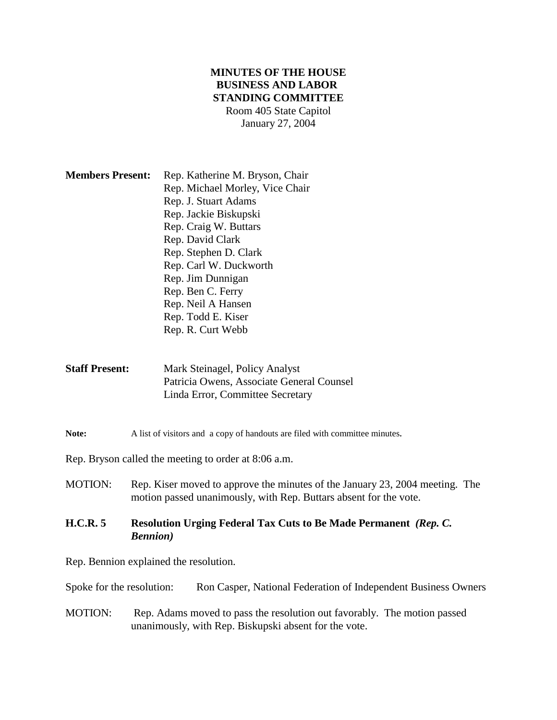# **MINUTES OF THE HOUSE BUSINESS AND LABOR STANDING COMMITTEE** Room 405 State Capitol January 27, 2004

| <b>Members Present:</b> | Rep. Katherine M. Bryson, Chair |
|-------------------------|---------------------------------|
|                         | Rep. Michael Morley, Vice Chair |
|                         | Rep. J. Stuart Adams            |
|                         | Rep. Jackie Biskupski           |
|                         | Rep. Craig W. Buttars           |
|                         | Rep. David Clark                |
|                         | Rep. Stephen D. Clark           |
|                         | Rep. Carl W. Duckworth          |
|                         | Rep. Jim Dunnigan               |
|                         | Rep. Ben C. Ferry               |
|                         | Rep. Neil A Hansen              |
|                         | Rep. Todd E. Kiser              |
|                         | Rep. R. Curt Webb               |

**Staff Present:** Mark Steinagel, Policy Analyst Patricia Owens, Associate General Counsel Linda Error, Committee Secretary

#### Note: A list of visitors and a copy of handouts are filed with committee minutes.

Rep. Bryson called the meeting to order at 8:06 a.m.

MOTION: Rep. Kiser moved to approve the minutes of the January 23, 2004 meeting. The motion passed unanimously, with Rep. Buttars absent for the vote.

### **H.C.R. 5 Resolution Urging Federal Tax Cuts to Be Made Permanent** *(Rep. C. Bennion)*

Rep. Bennion explained the resolution.

Spoke for the resolution: Ron Casper, National Federation of Independent Business Owners

MOTION: Rep. Adams moved to pass the resolution out favorably. The motion passed unanimously, with Rep. Biskupski absent for the vote.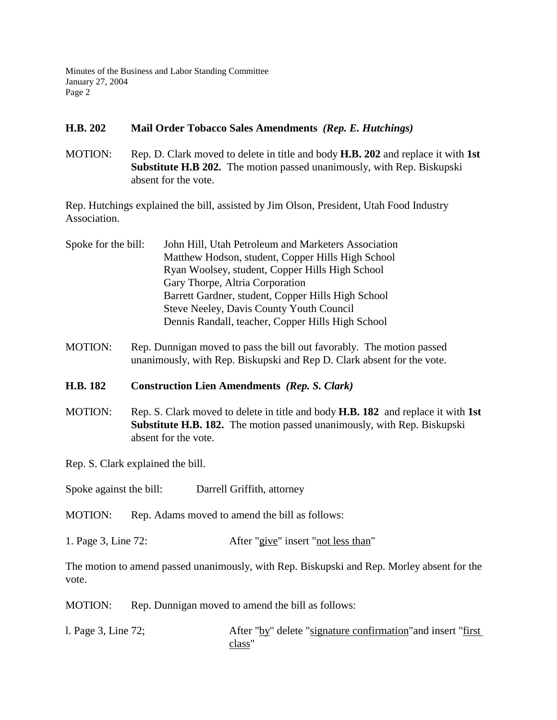Minutes of the Business and Labor Standing Committee January 27, 2004 Page 2

## **H.B. 202 Mail Order Tobacco Sales Amendments** *(Rep. E. Hutchings)*

MOTION: Rep. D. Clark moved to delete in title and body **H.B. 202** and replace it with **1st Substitute H.B 202.** The motion passed unanimously, with Rep. Biskupski absent for the vote.

Rep. Hutchings explained the bill, assisted by Jim Olson, President, Utah Food Industry Association.

- Spoke for the bill: John Hill, Utah Petroleum and Marketers Association Matthew Hodson, student, Copper Hills High School Ryan Woolsey, student, Copper Hills High School Gary Thorpe, Altria Corporation Barrett Gardner, student, Copper Hills High School Steve Neeley, Davis County Youth Council Dennis Randall, teacher, Copper Hills High School
- MOTION: Rep. Dunnigan moved to pass the bill out favorably. The motion passed unanimously, with Rep. Biskupski and Rep D. Clark absent for the vote.
- **H.B. 182 Construction Lien Amendments** *(Rep. S. Clark)*
- MOTION: Rep. S. Clark moved to delete in title and body **H.B. 182** and replace it with **1st Substitute H.B. 182.** The motion passed unanimously, with Rep. Biskupski absent for the vote.

Rep. S. Clark explained the bill.

Spoke against the bill: Darrell Griffith, attorney

MOTION: Rep. Adams moved to amend the bill as follows:

1. Page 3, Line 72: After "give" insert "not less than"

The motion to amend passed unanimously, with Rep. Biskupski and Rep. Morley absent for the vote.

MOTION: Rep. Dunnigan moved to amend the bill as follows:

l. Page 3, Line 72; After "by" delete "signature confirmation"and insert "first class"